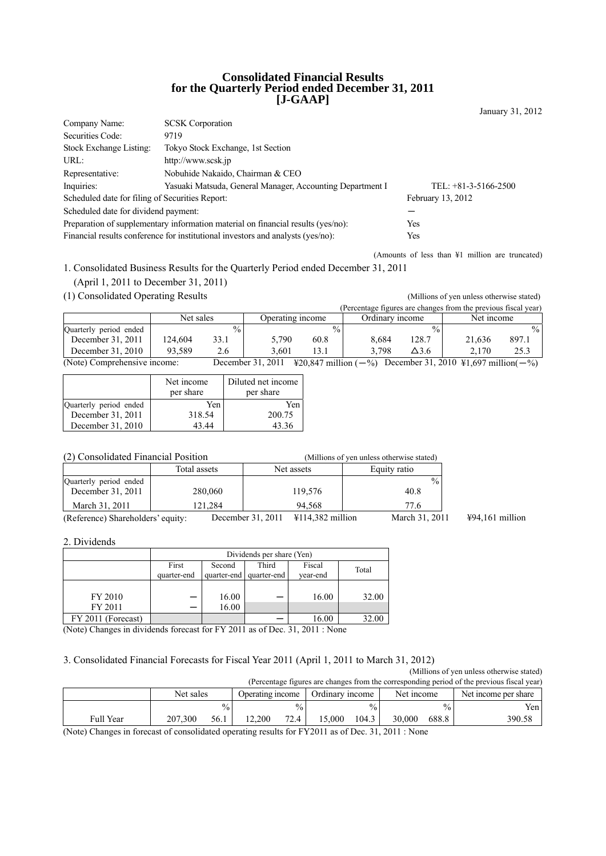#### **Consolidated Financial Results for the Quarterly Period ended December 31, 2011 [J-GAAP]**

| Company Name:                                   | <b>SCSK</b> Corporation                                                          |                        |
|-------------------------------------------------|----------------------------------------------------------------------------------|------------------------|
| Securities Code:                                | 9719                                                                             |                        |
| Stock Exchange Listing:                         | Tokyo Stock Exchange, 1st Section                                                |                        |
| URL:                                            | http://www.scsk.jp                                                               |                        |
| Representative:                                 | Nobuhide Nakaido, Chairman & CEO                                                 |                        |
| Inquiries:                                      | Yasuaki Matsuda, General Manager, Accounting Department I                        | TEL: $+81-3-5166-2500$ |
| Scheduled date for filing of Securities Report: |                                                                                  | February 13, 2012      |
| Scheduled date for dividend payment:            |                                                                                  |                        |
|                                                 | Preparation of supplementary information material on financial results (yes/no): | Yes                    |
|                                                 | Financial results conference for institutional investors and analysts (yes/no):  | Yes                    |

(Amounts of less than ¥1 million are truncated)

1. Consolidated Business Results for the Quarterly Period ended December 31, 2011

- (April 1, 2011 to December 31, 2011)
- (1) Consolidated Operating Results (Millions of yen unless otherwise stated)

(Percentage figures are changes from the previous fiscal year) Net sales Operating income Ordinary income Net income Quarterly period ended the content of the content of the content of the content of the content of the content of the content of the content of the content of the content of the content of the content of the content of the December 31, 2011 | 124,604 33.1 | 5,790 60.8 | 8,684 128.7 | 21,636 December 31, 2010 93,589 2.6 3,601 13.1 3,798  $\Delta$ 3.6 2,170 25.3

| (Note) Comprehensive income: |  | December 31, 2011 ¥20,847 million $(-\%)$ December 31, 2010 ¥1,697 million $(-\%)$ |
|------------------------------|--|------------------------------------------------------------------------------------|
|------------------------------|--|------------------------------------------------------------------------------------|

|                        | Net income<br>per share | Diluted net income<br>per share |
|------------------------|-------------------------|---------------------------------|
| Quarterly period ended | Yen                     | Yen                             |
| December 31, 2011      | 318.54                  | 200.75                          |
| December 31, 2010      | 43 44                   | 43.36                           |

| (2) Consolidated Financial Position         |              | (Millions of yen unless otherwise stated)                  |                       |                           |
|---------------------------------------------|--------------|------------------------------------------------------------|-----------------------|---------------------------|
|                                             | Total assets | Net assets                                                 | Equity ratio          |                           |
| Quarterly period ended<br>December 31, 2011 | 280,060      | 119.576                                                    | $\frac{0}{0}$<br>40.8 |                           |
| March 31, 2011                              | 121.284      | 94.568                                                     | 77.6                  |                           |
| (Reference) Shareholders' equity:           |              | $\text{\textsterling}114,382$ million<br>December 31, 2011 | March 31, 2011        | $\text{\#94,161}$ million |

2. Dividends

|                    | Dividends per share (Yen) |                           |             |          |       |  |
|--------------------|---------------------------|---------------------------|-------------|----------|-------|--|
|                    | First                     | Third<br>Fiscal<br>Second |             |          |       |  |
|                    | quarter-end               | quarter-end               | quarter-end | vear-end | Total |  |
|                    |                           |                           |             |          |       |  |
| FY 2010            |                           | 16.00                     |             | 16.00    | 32.00 |  |
| FY 2011            | —                         | 16.00                     |             |          |       |  |
| FY 2011 (Forecast) |                           |                           |             | 16.00    | 32.00 |  |

(Note) Changes in dividends forecast for FY 2011 as of Dec. 31, 2011 : None

### 3. Consolidated Financial Forecasts for Fiscal Year 2011 (April 1, 2011 to March 31, 2012)

(Millions of yen unless otherwise stated) (Percentage figures are changes from the corresponding period of the previous fiscal year)

|           | Net sales       | Operating income                     | Ordinary income | Net income      | Net income per share |
|-----------|-----------------|--------------------------------------|-----------------|-----------------|----------------------|
|           | $\frac{0}{0}$   | $\frac{0}{0}$                        | $\%$            | $\%$            | Yen                  |
| Full Year | 207,300<br>56.1 | 72.4<br>12.200<br>4<br>$\sim$ $\sim$ | 5,000<br>104.3  | 688.8<br>30.000 | 390.58               |

(Note) Changes in forecast of consolidated operating results for FY2011 as of Dec. 31, 2011 : None

January 31, 2012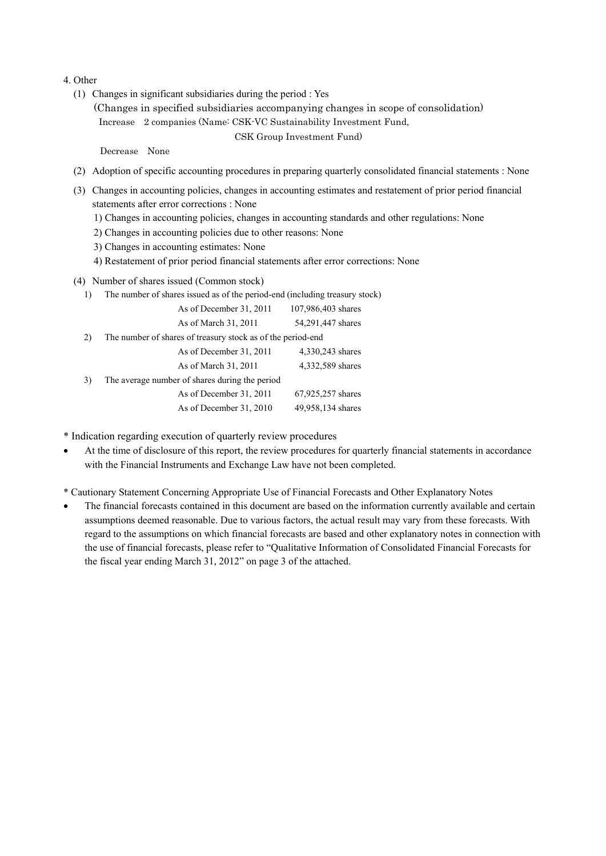#### 4. Other

- (1) Changes in significant subsidiaries during the period : Yes
	- (Changes in specified subsidiaries accompanying changes in scope of consolidation) Increase 2 companies (Name: CSK-VC Sustainability Investment Fund,

CSK Group Investment Fund)

Decrease None

- (2) Adoption of specific accounting procedures in preparing quarterly consolidated financial statements : None
- (3) Changes in accounting policies, changes in accounting estimates and restatement of prior period financial statements after error corrections : None
	- 1) Changes in accounting policies, changes in accounting standards and other regulations: None
	- 2) Changes in accounting policies due to other reasons: None
	- 3) Changes in accounting estimates: None
	- 4) Restatement of prior period financial statements after error corrections: None
- (4) Number of shares issued (Common stock)
	- 1) The number of shares issued as of the period-end (including treasury stock)

|    | As of December 31, 2011                                     | 107,986,403 shares |
|----|-------------------------------------------------------------|--------------------|
|    | As of March 31, 2011                                        | 54,291,447 shares  |
| 2) | The number of shares of treasury stock as of the period-end |                    |
|    | As of December 31, 2011                                     | 4,330,243 shares   |
|    | As of March 31, 2011                                        | 4,332,589 shares   |
| 3) | The average number of shares during the period              |                    |
|    | As of December 31, 2011                                     | 67,925,257 shares  |
|    | As of December 31, 2010                                     | 49,958,134 shares  |

\* Indication regarding execution of quarterly review procedures

• At the time of disclosure of this report, the review procedures for quarterly financial statements in accordance with the Financial Instruments and Exchange Law have not been completed.

\* Cautionary Statement Concerning Appropriate Use of Financial Forecasts and Other Explanatory Notes

• The financial forecasts contained in this document are based on the information currently available and certain assumptions deemed reasonable. Due to various factors, the actual result may vary from these forecasts. With regard to the assumptions on which financial forecasts are based and other explanatory notes in connection with the use of financial forecasts, please refer to "Qualitative Information of Consolidated Financial Forecasts for the fiscal year ending March 31, 2012" on page 3 of the attached.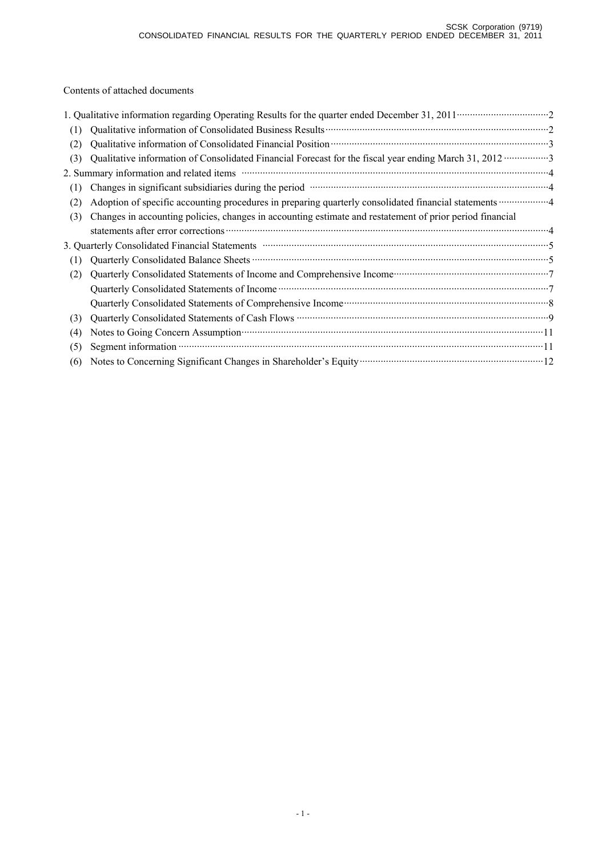Contents of attached documents

|     | 1. Qualitative information regarding Operating Results for the quarter ended December 31, 2011 ······························2                                                                                                 |
|-----|--------------------------------------------------------------------------------------------------------------------------------------------------------------------------------------------------------------------------------|
| (1) |                                                                                                                                                                                                                                |
| (2) |                                                                                                                                                                                                                                |
| (3) | Qualitative information of Consolidated Financial Forecast for the fiscal year ending March 31, 2012 ·················3                                                                                                        |
|     |                                                                                                                                                                                                                                |
| (1) | Changes in significant subsidiaries during the period manufactured contains and a strategy of a strategy of a strategy of a strategy of a strategy of a strategy of a strategy of a strategy of a strategy of a strategy of a  |
| (2) |                                                                                                                                                                                                                                |
| (3) | Changes in accounting policies, changes in accounting estimate and restatement of prior period financial                                                                                                                       |
|     |                                                                                                                                                                                                                                |
|     | 3. Quarterly Consolidated Financial Statements manufactured and content of the Statements of Statements and Statements and Statements and Statements and Statements and Statements and Statements and Statements and Statement |
| (1) |                                                                                                                                                                                                                                |
| (2) | Quarterly Consolidated Statements of Income and Comprehensive Income manufacturer and 7                                                                                                                                        |
|     |                                                                                                                                                                                                                                |
|     |                                                                                                                                                                                                                                |
| (3) |                                                                                                                                                                                                                                |
| (4) | Notes to Going Concern Assumption <b>Example 20</b> 11                                                                                                                                                                         |
| (5) |                                                                                                                                                                                                                                |
| (6) | Notes to Concerning Significant Changes in Shareholder's Equity (2008) 2014 12:00 Notes to Concerning Significant Changes in Shareholder's Equity (2008) 2014                                                                  |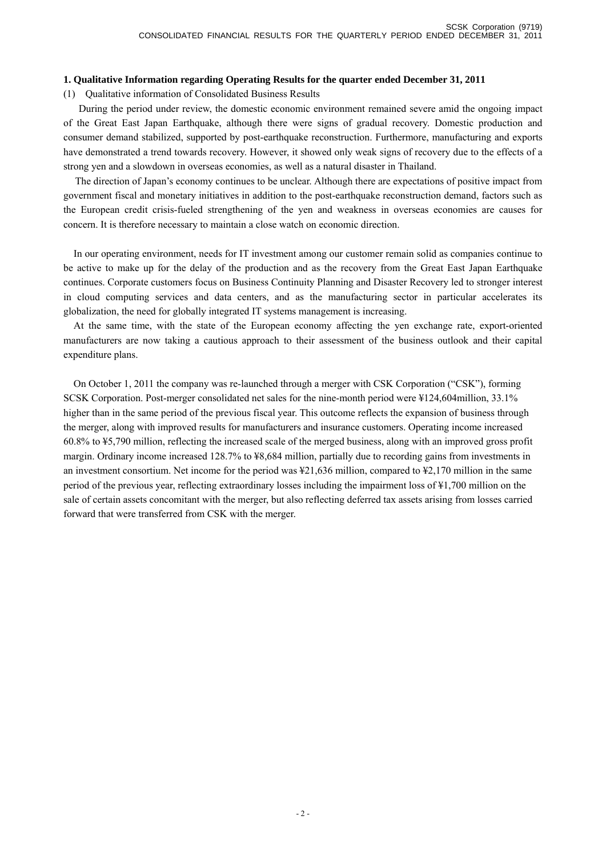### **1. Qualitative Information regarding Operating Results for the quarter ended December 31, 2011**

(1) Qualitative information of Consolidated Business Results

During the period under review, the domestic economic environment remained severe amid the ongoing impact of the Great East Japan Earthquake, although there were signs of gradual recovery. Domestic production and consumer demand stabilized, supported by post-earthquake reconstruction. Furthermore, manufacturing and exports have demonstrated a trend towards recovery. However, it showed only weak signs of recovery due to the effects of a strong yen and a slowdown in overseas economies, as well as a natural disaster in Thailand.

 The direction of Japan's economy continues to be unclear. Although there are expectations of positive impact from government fiscal and monetary initiatives in addition to the post-earthquake reconstruction demand, factors such as the European credit crisis-fueled strengthening of the yen and weakness in overseas economies are causes for concern. It is therefore necessary to maintain a close watch on economic direction.

In our operating environment, needs for IT investment among our customer remain solid as companies continue to be active to make up for the delay of the production and as the recovery from the Great East Japan Earthquake continues. Corporate customers focus on Business Continuity Planning and Disaster Recovery led to stronger interest in cloud computing services and data centers, and as the manufacturing sector in particular accelerates its globalization, the need for globally integrated IT systems management is increasing.

At the same time, with the state of the European economy affecting the yen exchange rate, export-oriented manufacturers are now taking a cautious approach to their assessment of the business outlook and their capital expenditure plans.

On October 1, 2011 the company was re-launched through a merger with CSK Corporation ("CSK"), forming SCSK Corporation. Post-merger consolidated net sales for the nine-month period were ¥124,604million, 33.1% higher than in the same period of the previous fiscal year. This outcome reflects the expansion of business through the merger, along with improved results for manufacturers and insurance customers. Operating income increased 60.8% to ¥5,790 million, reflecting the increased scale of the merged business, along with an improved gross profit margin. Ordinary income increased 128.7% to ¥8,684 million, partially due to recording gains from investments in an investment consortium. Net income for the period was ¥21,636 million, compared to ¥2,170 million in the same period of the previous year, reflecting extraordinary losses including the impairment loss of ¥1,700 million on the sale of certain assets concomitant with the merger, but also reflecting deferred tax assets arising from losses carried forward that were transferred from CSK with the merger.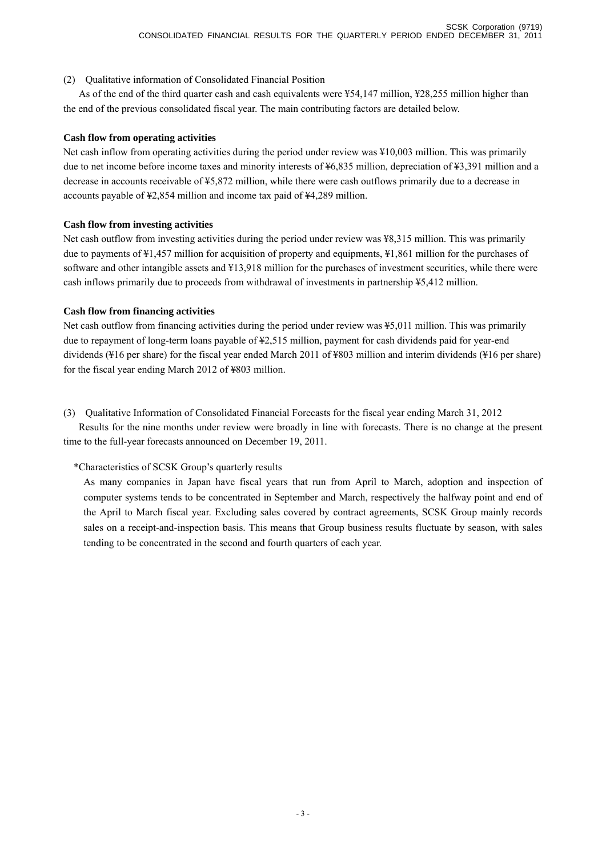(2) Qualitative information of Consolidated Financial Position

As of the end of the third quarter cash and cash equivalents were ¥54,147 million, ¥28,255 million higher than the end of the previous consolidated fiscal year. The main contributing factors are detailed below.

### **Cash flow from operating activities**

Net cash inflow from operating activities during the period under review was ¥10,003 million. This was primarily due to net income before income taxes and minority interests of ¥6,835 million, depreciation of ¥3,391 million and a decrease in accounts receivable of ¥5,872 million, while there were cash outflows primarily due to a decrease in accounts payable of ¥2,854 million and income tax paid of ¥4,289 million.

## **Cash flow from investing activities**

Net cash outflow from investing activities during the period under review was ¥8,315 million. This was primarily due to payments of ¥1,457 million for acquisition of property and equipments, ¥1,861 million for the purchases of software and other intangible assets and ¥13,918 million for the purchases of investment securities, while there were cash inflows primarily due to proceeds from withdrawal of investments in partnership ¥5,412 million.

## **Cash flow from financing activities**

Net cash outflow from financing activities during the period under review was ¥5,011 million. This was primarily due to repayment of long-term loans payable of ¥2,515 million, payment for cash dividends paid for year-end dividends (¥16 per share) for the fiscal year ended March 2011 of ¥803 million and interim dividends (¥16 per share) for the fiscal year ending March 2012 of ¥803 million.

(3) Qualitative Information of Consolidated Financial Forecasts for the fiscal year ending March 31, 2012

Results for the nine months under review were broadly in line with forecasts. There is no change at the present time to the full-year forecasts announced on December 19, 2011.

# \*Characteristics of SCSK Group's quarterly results

As many companies in Japan have fiscal years that run from April to March, adoption and inspection of computer systems tends to be concentrated in September and March, respectively the halfway point and end of the April to March fiscal year. Excluding sales covered by contract agreements, SCSK Group mainly records sales on a receipt-and-inspection basis. This means that Group business results fluctuate by season, with sales tending to be concentrated in the second and fourth quarters of each year.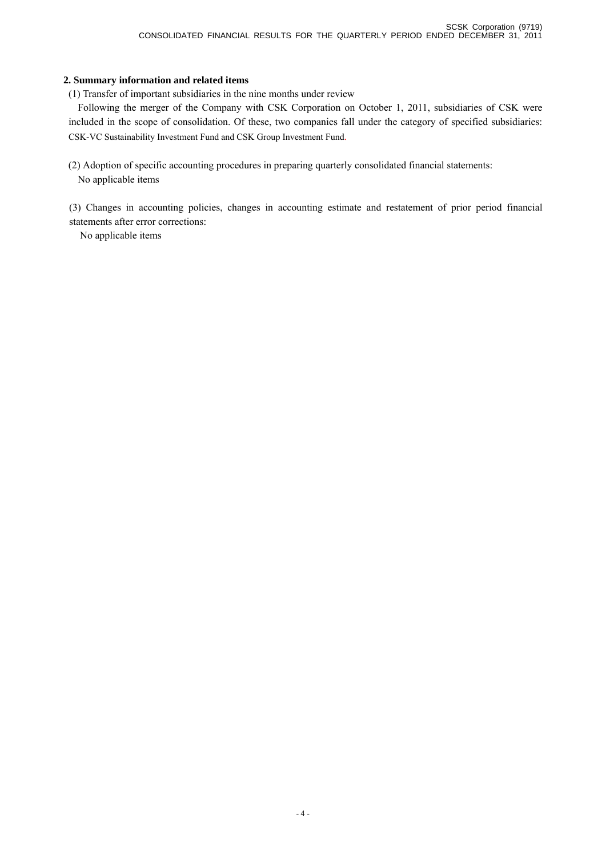### **2. Summary information and related items**

(1) Transfer of important subsidiaries in the nine months under review

Following the merger of the Company with CSK Corporation on October 1, 2011, subsidiaries of CSK were included in the scope of consolidation. Of these, two companies fall under the category of specified subsidiaries: CSK-VC Sustainability Investment Fund and CSK Group Investment Fund.

(2) Adoption of specific accounting procedures in preparing quarterly consolidated financial statements: No applicable items

(3) Changes in accounting policies, changes in accounting estimate and restatement of prior period financial statements after error corrections:

No applicable items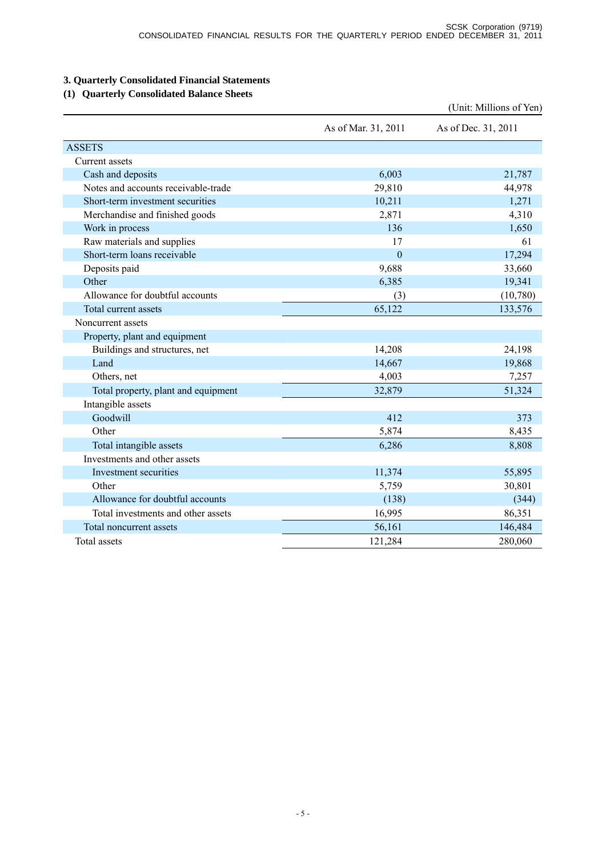# **3. Quarterly Consolidated Financial Statements**

# **(1) Quarterly Consolidated Balance Sheets**

|                                     |                     | (Unit: Millions of Yen) |
|-------------------------------------|---------------------|-------------------------|
|                                     | As of Mar. 31, 2011 | As of Dec. 31, 2011     |
| <b>ASSETS</b>                       |                     |                         |
| Current assets                      |                     |                         |
| Cash and deposits                   | 6,003               | 21,787                  |
| Notes and accounts receivable-trade | 29,810              | 44,978                  |
| Short-term investment securities    | 10,211              | 1,271                   |
| Merchandise and finished goods      | 2,871               | 4,310                   |
| Work in process                     | 136                 | 1,650                   |
| Raw materials and supplies          | 17                  | 61                      |
| Short-term loans receivable         | $\mathbf{0}$        | 17,294                  |
| Deposits paid                       | 9,688               | 33,660                  |
| Other                               | 6,385               | 19,341                  |
| Allowance for doubtful accounts     | (3)                 | (10,780)                |
| Total current assets                | 65,122              | 133,576                 |
| Noncurrent assets                   |                     |                         |
| Property, plant and equipment       |                     |                         |
| Buildings and structures, net       | 14,208              | 24,198                  |
| Land                                | 14,667              | 19,868                  |
| Others, net                         | 4,003               | 7,257                   |
| Total property, plant and equipment | 32,879              | 51,324                  |
| Intangible assets                   |                     |                         |
| Goodwill                            | 412                 | 373                     |
| Other                               | 5,874               | 8,435                   |
| Total intangible assets             | 6,286               | 8,808                   |
| Investments and other assets        |                     |                         |
| Investment securities               | 11,374              | 55,895                  |
| Other                               | 5,759               | 30,801                  |
| Allowance for doubtful accounts     | (138)               | (344)                   |
| Total investments and other assets  | 16,995              | 86,351                  |
| Total noncurrent assets             | 56,161              | 146,484                 |
| Total assets                        | 121,284             | 280,060                 |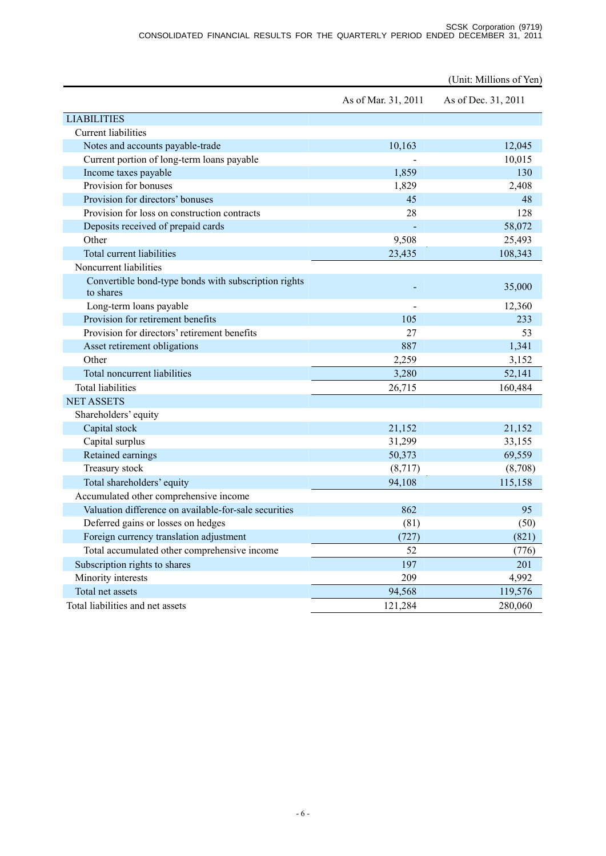|                                                       |                     | (Unit: Millions of Yen) |
|-------------------------------------------------------|---------------------|-------------------------|
|                                                       | As of Mar. 31, 2011 | As of Dec. 31, 2011     |
| <b>LIABILITIES</b>                                    |                     |                         |
| <b>Current liabilities</b>                            |                     |                         |
| Notes and accounts payable-trade                      | 10,163              | 12,045                  |
| Current portion of long-term loans payable            |                     | 10,015                  |
| Income taxes payable                                  | 1,859               | 130                     |
| Provision for bonuses                                 | 1,829               | 2,408                   |
| Provision for directors' bonuses                      | 45                  | 48                      |
| Provision for loss on construction contracts          | 28                  | 128                     |
| Deposits received of prepaid cards                    |                     | 58,072                  |
| Other                                                 | 9,508               | 25,493                  |
| Total current liabilities                             | 23,435              | 108,343                 |
| Noncurrent liabilities                                |                     |                         |
| Convertible bond-type bonds with subscription rights  |                     |                         |
| to shares                                             |                     | 35,000                  |
| Long-term loans payable                               |                     | 12,360                  |
| Provision for retirement benefits                     | 105                 | 233                     |
| Provision for directors' retirement benefits          | 27                  | 53                      |
| Asset retirement obligations                          | 887                 | 1,341                   |
| Other                                                 | 2,259               | 3,152                   |
| <b>Total noncurrent liabilities</b>                   | 3,280               | 52,141                  |
| <b>Total liabilities</b>                              | 26,715              | 160,484                 |
| <b>NET ASSETS</b>                                     |                     |                         |
| Shareholders' equity                                  |                     |                         |
| Capital stock                                         | 21,152              | 21,152                  |
| Capital surplus                                       | 31,299              | 33,155                  |
| Retained earnings                                     | 50,373              | 69,559                  |
| Treasury stock                                        | (8,717)             | (8,708)                 |
| Total shareholders' equity                            | 94,108              | 115,158                 |
| Accumulated other comprehensive income                |                     |                         |
| Valuation difference on available-for-sale securities | 862                 | 95                      |
| Deferred gains or losses on hedges                    | (81)                | (50)                    |
| Foreign currency translation adjustment               | (727)               | (821)                   |
| Total accumulated other comprehensive income          | 52                  | (776)                   |
| Subscription rights to shares                         | 197                 | 201                     |
| Minority interests                                    | 209                 | 4,992                   |
| Total net assets                                      | 94,568              | 119,576                 |
| Total liabilities and net assets                      | 121,284             | 280,060                 |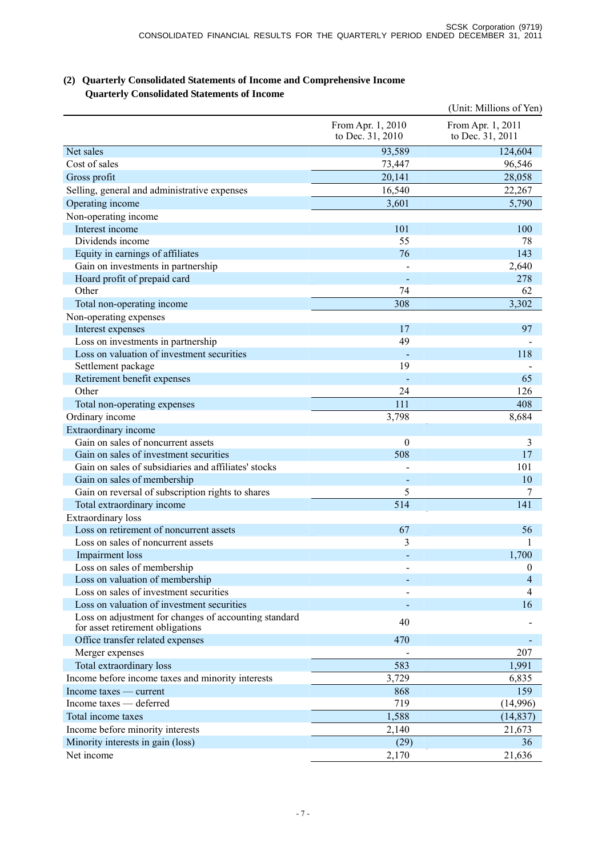# **(2) Quarterly Consolidated Statements of Income and Comprehensive Income Quarterly Consolidated Statements of Income**

|                                                                                           |                                       | (Unit: Millions of Yen)               |
|-------------------------------------------------------------------------------------------|---------------------------------------|---------------------------------------|
|                                                                                           | From Apr. 1, 2010<br>to Dec. 31, 2010 | From Apr. 1, 2011<br>to Dec. 31, 2011 |
| Net sales                                                                                 | 93,589                                | 124,604                               |
| Cost of sales                                                                             | 73,447                                | 96,546                                |
| Gross profit                                                                              | 20,141                                | 28,058                                |
| Selling, general and administrative expenses                                              | 16,540                                | 22,267                                |
| Operating income                                                                          | 3,601                                 | 5,790                                 |
| Non-operating income                                                                      |                                       |                                       |
| Interest income                                                                           | 101                                   | 100                                   |
| Dividends income                                                                          | 55                                    | 78                                    |
| Equity in earnings of affiliates                                                          | 76                                    | 143                                   |
| Gain on investments in partnership                                                        |                                       | 2,640                                 |
| Hoard profit of prepaid card                                                              |                                       | 278                                   |
| Other                                                                                     | 74                                    | 62                                    |
| Total non-operating income                                                                | 308                                   | 3,302                                 |
| Non-operating expenses                                                                    |                                       |                                       |
| Interest expenses                                                                         | 17                                    | 97                                    |
| Loss on investments in partnership                                                        | 49                                    |                                       |
| Loss on valuation of investment securities                                                |                                       | 118                                   |
| Settlement package                                                                        | 19                                    |                                       |
| Retirement benefit expenses                                                               |                                       | 65                                    |
| Other                                                                                     | 24                                    | 126                                   |
| Total non-operating expenses                                                              | 111                                   | 408                                   |
| Ordinary income                                                                           | 3,798                                 | 8,684                                 |
| Extraordinary income                                                                      |                                       |                                       |
| Gain on sales of noncurrent assets                                                        | $\overline{0}$                        | 3                                     |
| Gain on sales of investment securities                                                    | 508                                   | 17                                    |
| Gain on sales of subsidiaries and affiliates' stocks                                      |                                       | 101                                   |
| Gain on sales of membership                                                               |                                       | 10                                    |
| Gain on reversal of subscription rights to shares                                         | 5                                     | 7                                     |
| Total extraordinary income                                                                | 514                                   | 141                                   |
| Extraordinary loss                                                                        |                                       |                                       |
| Loss on retirement of noncurrent assets                                                   | 67                                    | 56                                    |
| Loss on sales of noncurrent assets                                                        | 3                                     | 1                                     |
| <b>Impairment</b> loss                                                                    |                                       | 1,700                                 |
| Loss on sales of membership                                                               |                                       | $\boldsymbol{0}$                      |
| Loss on valuation of membership                                                           |                                       | 4                                     |
| Loss on sales of investment securities                                                    |                                       | 4                                     |
| Loss on valuation of investment securities                                                |                                       | 16                                    |
| Loss on adjustment for changes of accounting standard<br>for asset retirement obligations | 40                                    |                                       |
| Office transfer related expenses                                                          | 470                                   |                                       |
| Merger expenses                                                                           |                                       | 207                                   |
| Total extraordinary loss                                                                  | 583                                   | 1,991                                 |
| Income before income taxes and minority interests                                         | 3,729                                 | 6,835                                 |
| Income taxes — current                                                                    | 868                                   | 159                                   |
| Income taxes — deferred                                                                   | 719                                   | (14,996)                              |
| Total income taxes                                                                        | 1,588                                 | (14, 837)                             |
| Income before minority interests                                                          | 2,140                                 | 21,673                                |
| Minority interests in gain (loss)                                                         | (29)                                  | 36                                    |
| Net income                                                                                | 2,170                                 | 21,636                                |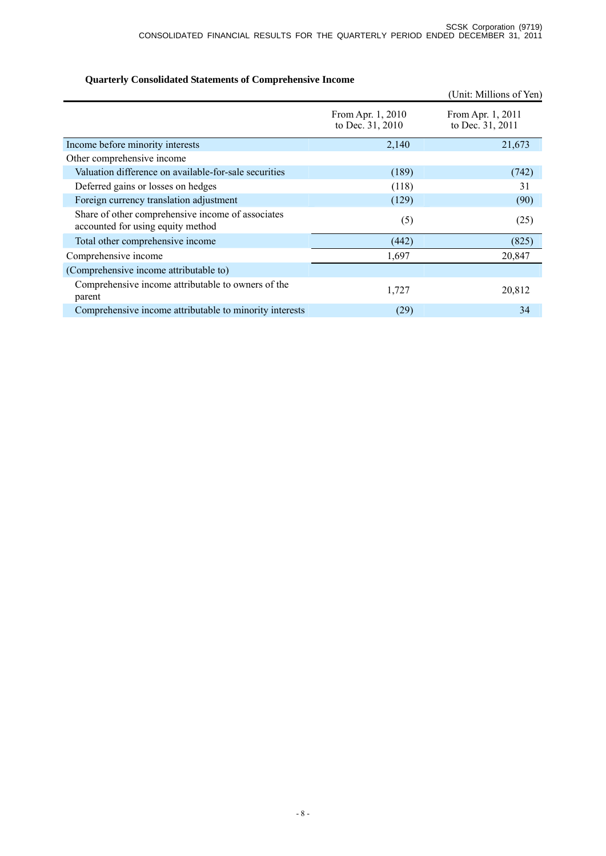# **Quarterly Consolidated Statements of Comprehensive Income**

|                                                                                        |                                       | (Unit: Millions of Yen)               |
|----------------------------------------------------------------------------------------|---------------------------------------|---------------------------------------|
|                                                                                        | From Apr. 1, 2010<br>to Dec. 31, 2010 | From Apr. 1, 2011<br>to Dec. 31, 2011 |
| Income before minority interests                                                       | 2,140                                 | 21,673                                |
| Other comprehensive income                                                             |                                       |                                       |
| Valuation difference on available-for-sale securities                                  | (189)                                 | (742)                                 |
| Deferred gains or losses on hedges                                                     | (118)                                 | 31                                    |
| Foreign currency translation adjustment                                                | (129)                                 | (90)                                  |
| Share of other comprehensive income of associates<br>accounted for using equity method | (5)                                   | (25)                                  |
| Total other comprehensive income                                                       | (442)                                 | (825)                                 |
| Comprehensive income                                                                   | 1,697                                 | 20,847                                |
| (Comprehensive income attributable to)                                                 |                                       |                                       |
| Comprehensive income attributable to owners of the<br>parent                           | 1,727                                 | 20,812                                |
| Comprehensive income attributable to minority interests                                | (29)                                  | 34                                    |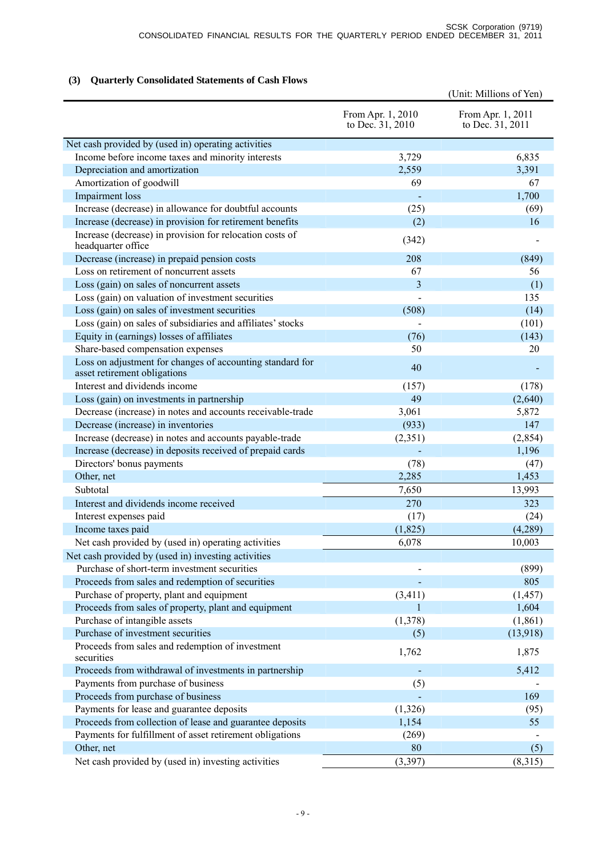# **(3) Quarterly Consolidated Statements of Cash Flows**

|                                                                                           |                                       | (Unit: Millions of Yen)               |
|-------------------------------------------------------------------------------------------|---------------------------------------|---------------------------------------|
|                                                                                           | From Apr. 1, 2010<br>to Dec. 31, 2010 | From Apr. 1, 2011<br>to Dec. 31, 2011 |
| Net cash provided by (used in) operating activities                                       |                                       |                                       |
| Income before income taxes and minority interests                                         | 3,729                                 | 6,835                                 |
| Depreciation and amortization                                                             | 2,559                                 | 3,391                                 |
| Amortization of goodwill                                                                  | 69                                    | 67                                    |
| Impairment loss                                                                           |                                       | 1,700                                 |
| Increase (decrease) in allowance for doubtful accounts                                    | (25)                                  | (69)                                  |
| Increase (decrease) in provision for retirement benefits                                  | (2)                                   | 16                                    |
| Increase (decrease) in provision for relocation costs of<br>headquarter office            | (342)                                 |                                       |
| Decrease (increase) in prepaid pension costs                                              | 208                                   | (849)                                 |
| Loss on retirement of noncurrent assets                                                   | 67                                    | 56                                    |
| Loss (gain) on sales of noncurrent assets                                                 | $\overline{\mathbf{3}}$               | (1)                                   |
| Loss (gain) on valuation of investment securities                                         |                                       | 135                                   |
| Loss (gain) on sales of investment securities                                             | (508)                                 | (14)                                  |
| Loss (gain) on sales of subsidiaries and affiliates' stocks                               |                                       | (101)                                 |
| Equity in (earnings) losses of affiliates                                                 | (76)                                  | (143)                                 |
| Share-based compensation expenses                                                         | 50                                    | 20                                    |
| Loss on adjustment for changes of accounting standard for<br>asset retirement obligations | 40                                    |                                       |
| Interest and dividends income                                                             | (157)                                 | (178)                                 |
| Loss (gain) on investments in partnership                                                 | 49                                    | (2,640)                               |
| Decrease (increase) in notes and accounts receivable-trade                                | 3,061                                 | 5,872                                 |
| Decrease (increase) in inventories                                                        | (933)                                 | 147                                   |
| Increase (decrease) in notes and accounts payable-trade                                   | (2,351)                               | (2, 854)                              |
| Increase (decrease) in deposits received of prepaid cards                                 |                                       | 1,196                                 |
| Directors' bonus payments                                                                 | (78)                                  | (47)                                  |
| Other, net                                                                                | 2,285                                 | 1,453                                 |
| Subtotal                                                                                  | 7,650                                 | 13,993                                |
| Interest and dividends income received                                                    | 270                                   | 323                                   |
| Interest expenses paid                                                                    | (17)                                  | (24)                                  |
| Income taxes paid                                                                         | (1, 825)                              | (4,289)                               |
| Net cash provided by (used in) operating activities                                       | 6,078                                 | 10,003                                |
| Net cash provided by (used in) investing activities                                       |                                       |                                       |
| Purchase of short-term investment securities                                              |                                       | (899)                                 |
| Proceeds from sales and redemption of securities                                          |                                       | 805                                   |
| Purchase of property, plant and equipment                                                 | (3, 411)                              | (1, 457)                              |
| Proceeds from sales of property, plant and equipment                                      | 1                                     | 1,604                                 |
| Purchase of intangible assets                                                             | (1,378)                               | (1, 861)                              |
| Purchase of investment securities                                                         | (5)                                   | (13,918)                              |
| Proceeds from sales and redemption of investment<br>securities                            | 1,762                                 | 1,875                                 |
| Proceeds from withdrawal of investments in partnership                                    |                                       | 5,412                                 |
| Payments from purchase of business                                                        | (5)                                   |                                       |
| Proceeds from purchase of business                                                        |                                       | 169                                   |
| Payments for lease and guarantee deposits                                                 | (1, 326)                              | (95)                                  |
| Proceeds from collection of lease and guarantee deposits                                  | 1,154                                 | 55                                    |
| Payments for fulfillment of asset retirement obligations                                  | (269)                                 |                                       |
| Other, net                                                                                | 80                                    | (5)                                   |
| Net cash provided by (used in) investing activities                                       | (3, 397)                              | (8,315)                               |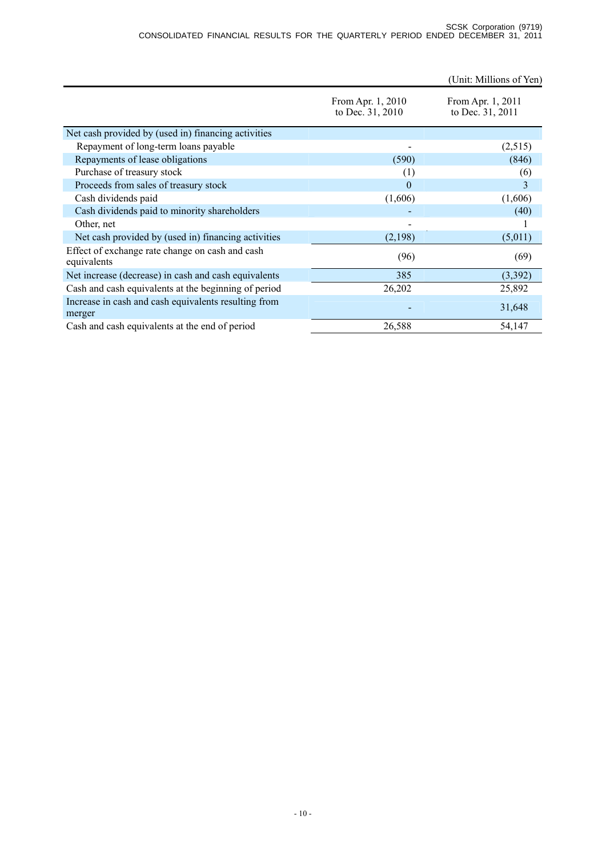|                                                                |                                       | (Unit: Millions of Yen)               |
|----------------------------------------------------------------|---------------------------------------|---------------------------------------|
|                                                                | From Apr. 1, 2010<br>to Dec. 31, 2010 | From Apr. 1, 2011<br>to Dec. 31, 2011 |
| Net cash provided by (used in) financing activities            |                                       |                                       |
| Repayment of long-term loans payable                           |                                       | (2,515)                               |
| Repayments of lease obligations                                | (590)                                 | (846)                                 |
| Purchase of treasury stock                                     | (1)                                   | (6)                                   |
| Proceeds from sales of treasury stock                          | $\Omega$                              | 3                                     |
| Cash dividends paid                                            | (1,606)                               | (1,606)                               |
| Cash dividends paid to minority shareholders                   |                                       | (40)                                  |
| Other, net                                                     |                                       |                                       |
| Net cash provided by (used in) financing activities            | (2,198)                               | (5,011)                               |
| Effect of exchange rate change on cash and cash<br>equivalents | (96)                                  | (69)                                  |
| Net increase (decrease) in cash and cash equivalents           | 385                                   | (3,392)                               |
| Cash and cash equivalents at the beginning of period           | 26,202                                | 25,892                                |
| Increase in cash and cash equivalents resulting from<br>merger |                                       | 31,648                                |
| Cash and cash equivalents at the end of period                 | 26,588                                | 54,147                                |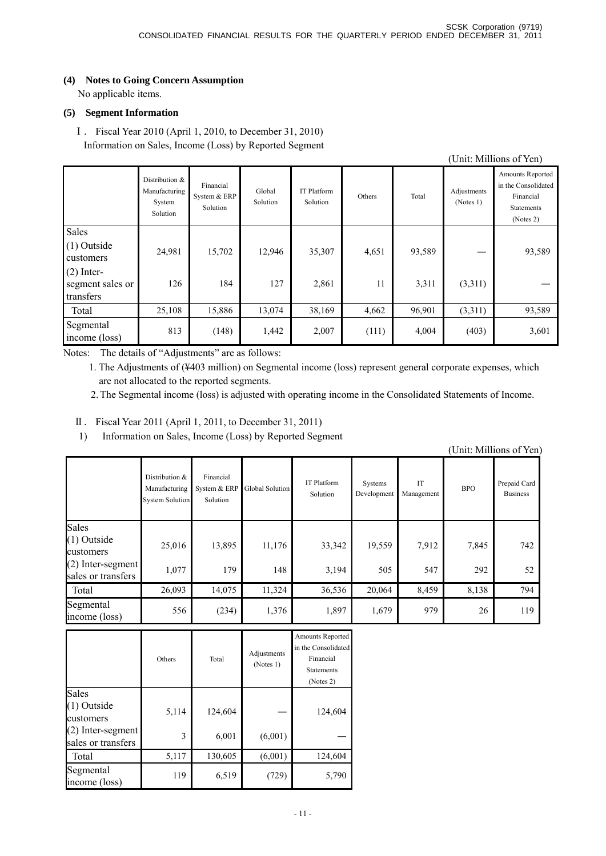# **(4) Notes to Going Concern Assumption**

No applicable items.

### **(5) Segment Information**

Ⅰ. Fiscal Year 2010 (April 1, 2010, to December 31, 2010) Information on Sales, Income (Loss) by Reported Segment

|                                                   |                                                         |                                       |                    |                         |        |        |                          | (Unit: Millions of Yen)                                                                |
|---------------------------------------------------|---------------------------------------------------------|---------------------------------------|--------------------|-------------------------|--------|--------|--------------------------|----------------------------------------------------------------------------------------|
|                                                   | Distribution $&$<br>Manufacturing<br>System<br>Solution | Financial<br>System & ERP<br>Solution | Global<br>Solution | IT Platform<br>Solution | Others | Total  | Adjustments<br>(Notes 1) | Amounts Reported<br>in the Consolidated<br>Financial<br><b>Statements</b><br>(Notes 2) |
| Sales<br>(1) Outside<br>customers<br>$(2)$ Inter- | 24,981                                                  | 15,702                                | 12,946             | 35,307                  | 4,651  | 93,589 |                          | 93,589                                                                                 |
| segment sales or<br>transfers                     | 126                                                     | 184                                   | 127                | 2,861                   | 11     | 3,311  | (3,311)                  |                                                                                        |
| Total                                             | 25,108                                                  | 15,886                                | 13,074             | 38,169                  | 4,662  | 96,901 | (3,311)                  | 93,589                                                                                 |
| Segmental<br>income (loss)                        | 813                                                     | (148)                                 | 1,442              | 2,007                   | (111)  | 4,004  | (403)                    | 3,601                                                                                  |

Notes: The details of "Adjustments" are as follows:

1. The Adjustments of (¥403 million) on Segmental income (loss) represent general corporate expenses, which are not allocated to the reported segments.

2. The Segmental income (loss) is adjusted with operating income in the Consolidated Statements of Income.

- Ⅱ. Fiscal Year 2011 (April 1, 2011, to December 31, 2011)
- 1) Information on Sales, Income (Loss) by Reported Segment

|                                                                                  |                                                           |                                       |                 |                                |                        |                  |              | (Unit: Millions of Yen)         |
|----------------------------------------------------------------------------------|-----------------------------------------------------------|---------------------------------------|-----------------|--------------------------------|------------------------|------------------|--------------|---------------------------------|
|                                                                                  | Distribution &<br>Manufacturing<br><b>System Solution</b> | Financial<br>System & ERP<br>Solution | Global Solution | <b>IT Platform</b><br>Solution | Systems<br>Development | IT<br>Management | <b>BPO</b>   | Prepaid Card<br><b>Business</b> |
| Sales<br>$(1)$ Outside<br>customers<br>$(2)$ Inter-segment<br>sales or transfers | 25,016<br>1,077                                           | 13,895<br>179                         | 11,176<br>148   | 33,342<br>3,194                | 19,559<br>505          | 7.912<br>547     | 7,845<br>292 | 742<br>52                       |
| Total                                                                            | 26,093                                                    | 14,075                                | 11,324          | 36,536                         | 20,064                 | 8,459            | 8,138        | 794                             |
| Segmental<br>income (loss)                                                       | 556                                                       | (234)                                 | 1,376           | 1,897                          | 1,679                  | 979              | 26           | 119                             |

|                                                        | Others     | Total            | Adjustments<br>(Notes 1) | Amounts Reported<br>in the Consolidated<br>Financial<br><b>Statements</b><br>(Notes 2) |
|--------------------------------------------------------|------------|------------------|--------------------------|----------------------------------------------------------------------------------------|
| Sales<br>(1) Outside<br>customers<br>(2) Inter-segment | 5,114<br>3 | 124,604<br>6,001 | (6,001)                  | 124,604                                                                                |
| sales or transfers<br>Total                            | 5,117      | 130,605          | (6,001)                  | 124,604                                                                                |
| Segmental<br>income (loss)                             | 119        | 6,519            | (729)                    | 5,790                                                                                  |